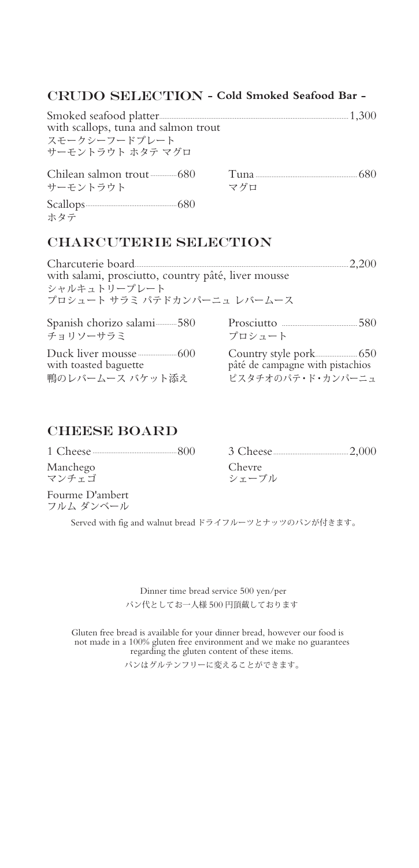## CRUDO SELECTION - Cold Smoked Seafood Bar -

| with scallops, tuna and salmon trout<br>スチークシーフードプレート<br>サーモントラウト ホタテ マグロ |     |  |
|---------------------------------------------------------------------------|-----|--|
| サーチントラウト                                                                  | マグロ |  |
|                                                                           |     |  |

### CHARCUTERIE SELECTION

| 2.200<br>with salami, prosciutto, country pâté, liver mousse<br>シャルキュトリープレート<br>プロシュート サラミ パテドカンパーニュ レバームース |                                  |  |
|-------------------------------------------------------------------------------------------------------------|----------------------------------|--|
| Spanish chorizo salami-----------580                                                                        |                                  |  |
| チョリソーサラミ                                                                                                    | プロシュート                           |  |
|                                                                                                             |                                  |  |
| with toasted baguette                                                                                       | pâté de campagne with pistachios |  |
| 鴨のレバームース バケット添え                                                                                             | ピスタチオのパテ・ド・カンパーニュ                |  |

## CHEESE BOARD

ホタテ

| Manchego<br>マンチェゴ            | Chevre<br>シェーブル |
|------------------------------|-----------------|
| Fourme D'ambert<br>フルム ダンベール |                 |

Served with fig and walnut bread ドライフルーツとナッツのパンが付きます。

 Dinner time bread service 500 yen/per パン代としてお一人様 500 円頂戴しております

Gluten free bread is available for your dinner bread, however our food is not made in a 100% gluten free environment and we make no guarantees regarding the gluten content of these items.

パンはグルテンフリーに変えることができます。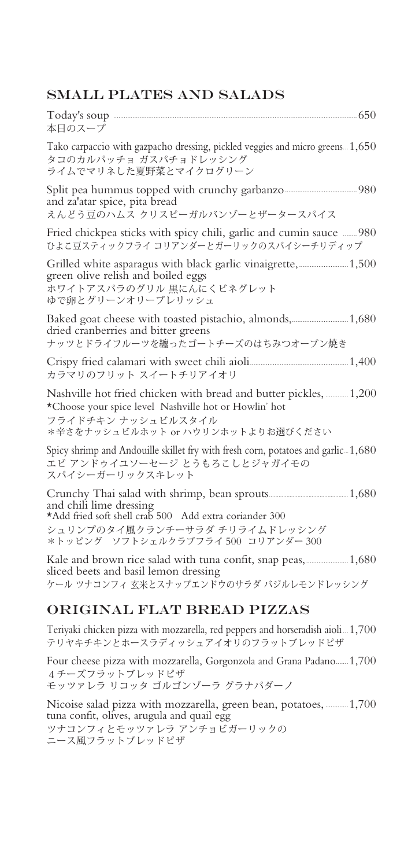## SMALL PLATES AND SALADS

| 本日のスープ                                                                                                                                                                                |  |
|---------------------------------------------------------------------------------------------------------------------------------------------------------------------------------------|--|
| Tako carpaccio with gazpacho dressing, pickled veggies and micro greens 1,650<br>タコのカルパッチョ ガスパチョドレッシング<br>ライムでマリネした夏野菜とマイクログリーン                                                       |  |
| and za'atar spice, pita bread<br>えんどう豆のハムス クリスピーガルバンゾーとザータースパイス                                                                                                                       |  |
| Fried chickpea sticks with spicy chili, garlic and cumin sauce  980<br>ひよこ豆スティックフライ コリアンダーとガーリックのスパイシーチリディップ                                                                          |  |
| Grilled white asparagus with black garlic vinaigrette,  1,500<br>green olive relish and boiled eggs<br>ホワイトアスパラのグリル 黒にんにくビネグレット<br>ゆで卵とグリーンオリーブレリッシュ                                  |  |
| Baked goat cheese with toasted pistachio, almonds, 1,680<br>dried cranberries and bitter greens<br>ナッツとドライフルーツを纏ったゴートチーズのはちみつオーブン焼き                                                   |  |
| カラマリのフリット スイートチリアイオリ                                                                                                                                                                  |  |
| Nashville hot fried chicken with bread and butter pickles,  1,200<br>*Choose your spice level Nashville hot or Howlin' hot<br>フライドチキン ナッシュビルスタイル<br>*辛さをナッシュビルホット or ハウリンホットよりお選びください |  |
| Spicy shrimp and Andouille skillet fry with fresh corn, potatoes and garlic. 1,680<br>エビ アンドゥイユソーセージ とうもろこしとジャガイモの<br>スパイシーガーリックスキレット                                                 |  |
| and chili lime dressing<br>*Add fried soft shell crab 500 Add extra coriander 300<br>シュリンプのタイ風クランチーサラダ チリライムドレッシング<br>*トッピング ソフトシェルクラブフライ500 コリアンダー300                                |  |
| sliced beets and basil lemon dressing<br>ケール ツナコンフィ 玄米とスナップエンドウのサラダ バジルレモンドレッシング                                                                                                      |  |

## ORIGINAL FLAT BREAD PIZZAS

Teriyaki chicken pizza with mozzarella, red peppers and horseradish aioli...1,700 テリヤキチキンとホースラディッシュアイオリのフラットブレッドピザ

Four cheese pizza with mozzarella, Gorgonzola and Grana Padano.......1,700 4チーズフラットブレッドピザ モッツァレラ リコッタ ゴルゴンゾーラ グラナパダーノ

Nicoise salad pizza with mozzarella, green bean, potatoes,............ 1,700 tuna confit, olives, arugula and quail egg ツナコンフィとモッツァレラ アンチョビガーリックの ニース風フラットブレッドピザ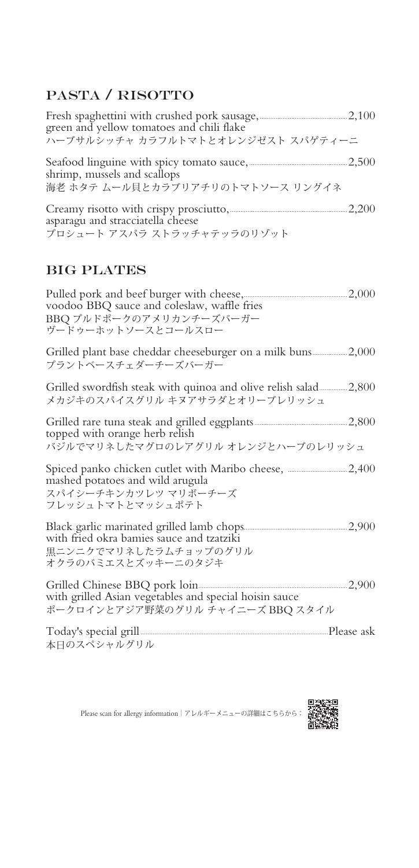# PASTA / RISOTTO

| ハーブサルシッチャ カラフルトマトとオレンジゼスト スパゲティーニ                                |  |
|------------------------------------------------------------------|--|
| shrimp, mussels and scallops<br>海老 ホタテ ムール貝とカラブリアチリのトマトソース リングイネ |  |
| asparagu and stracciatella cheese<br>プロシュート アスパラ ストラッチャテッラのリゾット  |  |

## BIG PLATES

| voodoo BBQ sauce and coleslaw, waffle fries |  |
|---------------------------------------------|--|
| BBQ プルドポークのアメリカンチーズバーガー                     |  |
| ヴードゥーホットソースとコールスロー                          |  |
|                                             |  |

Grilled plant base cheddar cheeseburger on a milk buns....................2,000 プラントベースチェダーチーズバーガー

| Grilled swordfish steak with quinoa and olive relish salad2,800 |  |
|-----------------------------------------------------------------|--|
| メカジキのスパイスグリル キヌアサラダとオリーブレリッシュ                                   |  |

Grilled rare tuna steak and grilled eggplants.....................................................2,800 topped with orange herb relish バジルでマリネしたマグロのレアグリル オレンジとハーブのレリッシュ

Spiced panko chicken cutlet with Maribo cheese, ..................................2,400 mashed potatoes and wild arugula スパイシーチキンカツレツ マリボーチーズ フレッシュトマトとマッシュポテト

Black garlic marinated grilled lamb chops...........................................................2,900 with fried okra bamies sauce and tzatziki 黒ニンニクでマリネしたラムチョップのグリル オクラのバミエスとズッキーニのタジキ

Grilled Chinese BBQ pork loin.....................................................................................2,900 with grilled Asian vegetables and special hoisin sauce ポークロインとアジア野菜のグリル チャイニーズ BBQ スタイル

Today's special grill ...........................................................................................................Please ask 本日のスペシャルグリル



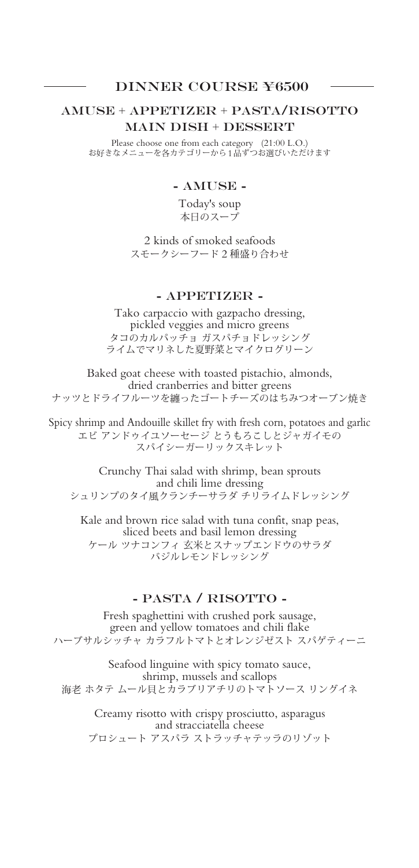#### DINNER COURSE ¥6500

### AMUSE + APPETIZER + PASTA/RISOTTO MAIN DISH + DESSERT

Please choose one from each category (21:00 L.O.) お好きなメニューを各カテゴリーから1品ずつお選びいただけます

#### - AMUSE -

Today's soup 本日のスープ

2 kinds of smoked seafoods スモークシーフード 2 種盛り合わせ

#### - APPETIZER -

Tako carpaccio with gazpacho dressing, pickled veggies and micro greens タコのカルパッチョ ガスパチョドレッシング ライムでマリネした夏野菜とマイクログリーン

Baked goat cheese with toasted pistachio, almonds, dried cranberries and bitter greens ナッツとドライフルーツを纏ったゴートチーズのはちみつオーブン焼き

Spicy shrimp and Andouille skillet fry with fresh corn, potatoes and garlic エビ アンドゥイユソーセージ とうもろこしとジャガイモの スパイシーガーリックスキレット

Crunchy Thai salad with shrimp, bean sprouts and chili lime dressing シュリンプのタイ風クランチーサラダ チリライムドレッシング

Kale and brown rice salad with tuna confit, snap peas, sliced beets and basil lemon dressing ケール ツナコンフィ 玄米とスナップエンドウのサラダ バジルレモンドレッシング

#### - PASTA / RISOTTO -

Fresh spaghettini with crushed pork sausage, green and yellow tomatoes and chili flake ハーブサルシッチャ カラフルトマトとオレンジゼスト スパゲティーニ

Seafood linguine with spicy tomato sauce, shrimp, mussels and scallops 海老 ホタテ ムール貝とカラブリアチリのトマトソース リングイネ

Creamy risotto with crispy prosciutto, asparagus and stracciatella cheese プロシュート アスパラ ストラッチャテッラのリゾット